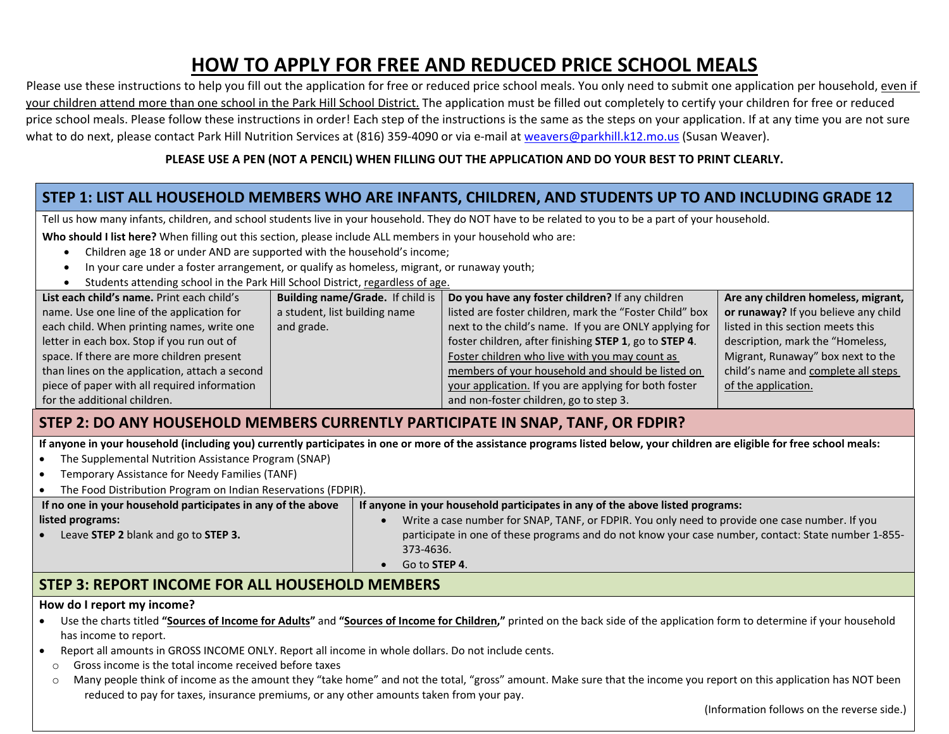# **HOW TO APPLY FOR FREE AND REDUCED PRICE SCHOOL MEALS**

Please use these instructions to help you fill out the application for free or reduced price school meals. You only need to submit one application per household, <u>even if</u> your children attend more than one school in the Park Hill School District. The application must be filled out completely to certify your children for free or reduced price school meals. Please follow these instructions in order! Each step of the instructions is the same as the steps on your application. If at any time you are not sure what to do next, please contact Park Hill Nutrition Services at (816) 359-4090 or via e-mail at <u>weavers@parkhill.k12.mo.us</u> (Susan Weaver).

#### PLEASE USE A PEN (NOT A PENCIL) WHEN FILLING OUT THE APPLICATION AND DO YOUR BEST TO PRINT CLEARLY.

# STEP 1: LIST ALL HOUSEHOLD MEMBERS WHO ARE INFANTS, CHILDREN, AND STUDENTS UP TO AND INCLUDING GRADE 12

Tell us how many infants, children, and school students live in your household. They do NOT have to be related to you to be <sup>a</sup> part of your household.

**Who should I list here?** When filling out this section, please include ALL members in your household who are:

- $\bullet$ Children age 18 or under AND are supported with the household's income;
- . In your care under <sup>a</sup> foster arrangement, or qualify as homeless, migrant, or runaway youth;
- c Students attending school in the Park Hill School District, regardless of age.

| List each child's name. Print each child's     | Building name/Grade. If child is | Do you have any foster children? If any children        | Are any children homeless, migrant,  |
|------------------------------------------------|----------------------------------|---------------------------------------------------------|--------------------------------------|
| name. Use one line of the application for      | a student, list building name    | listed are foster children, mark the "Foster Child" box | or runaway? If you believe any child |
| each child. When printing names, write one     | and grade.                       | next to the child's name. If you are ONLY applying for  | listed in this section meets this    |
| letter in each box. Stop if you run out of     |                                  | foster children, after finishing STEP 1, go to STEP 4.  | description, mark the "Homeless,     |
| space. If there are more children present      |                                  | Foster children who live with you may count as          | Migrant, Runaway" box next to the    |
| than lines on the application, attach a second |                                  | members of your household and should be listed on       | child's name and complete all steps  |
| piece of paper with all required information   |                                  | your application. If you are applying for both foster   | of the application.                  |
| for the additional children.                   |                                  | and non-foster children, go to step 3.                  |                                      |

# **STEP 2: DO ANY HOUSEHOLD MEMBERS CURRENTLY PARTICIPATE IN SNAP, TANF, OR FDPIR?**

If anyone in your household (including you) currently participates in one or more of the assistance programs listed below, your children are eligible for free school meals:

- c The Supplemental Nutrition Assistance Program (SNAP)
- c Temporary Assistance for Needy Families (TANF)
- c The Food Distribution Program on Indian Reservations (FDPIR).

| If no one in your household participates in any of the above | If anyone in your household participates in any of the above listed programs:                       |  |  |
|--------------------------------------------------------------|-----------------------------------------------------------------------------------------------------|--|--|
| listed programs:                                             | Write a case number for SNAP, TANF, or FDPIR. You only need to provide one case number. If you      |  |  |
| Leave STEP 2 blank and go to STEP 3.                         | participate in one of these programs and do not know your case number, contact: State number 1-855- |  |  |
|                                                              | 373-4636.                                                                                           |  |  |
|                                                              | Go to <b>STEP 4</b> .                                                                               |  |  |
|                                                              |                                                                                                     |  |  |

# **STEP 3: REPORT INCOME FOR ALL HOUSEHOLD MEMBERS**

#### **How do I report my income?**

- Use the charts titled "<u>Sources of Income for Adults</u>" and "<u>Sources of Income for Children</u>," printed on the back side of the application form to determine if your household has income to report.
- Report all amounts in GROSS INCOME ONLY. Report all income in whole dollars. Do not include cents.
	- oGross income is the total income received before taxes
- o Many people think of income as the amount they "take home" and not the total, "gross" amount. Make sure that the income you report on this application has NOT been reduced to pay for taxes, insurance premiums, or any other amounts taken from your pay.

(Information follows on the reverse side.)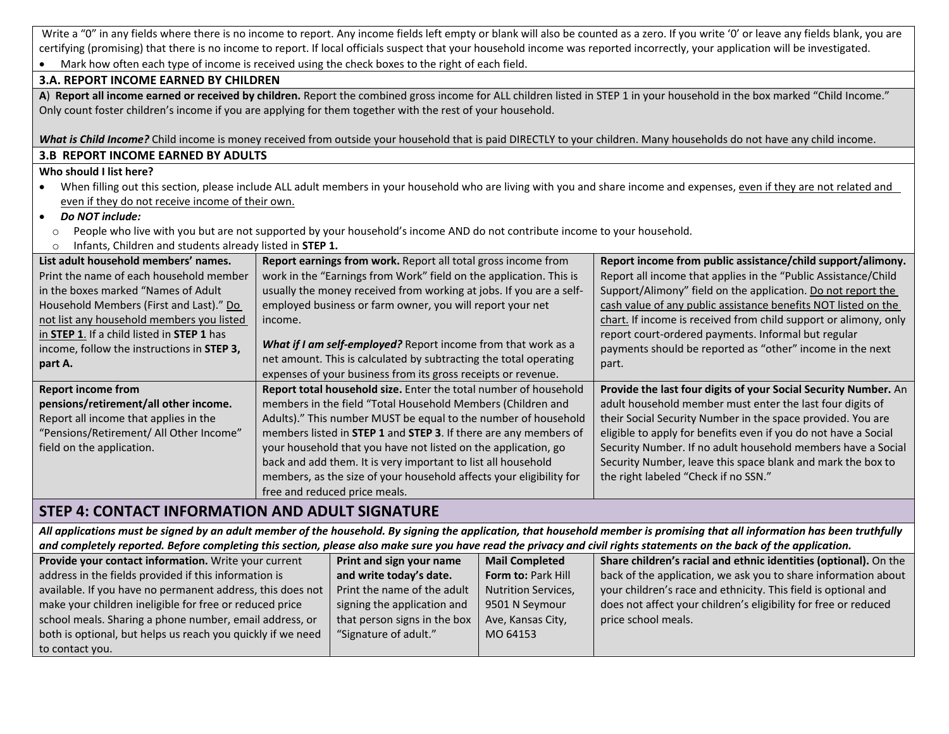Write a "0" in any fields where there is no income to report. Any income fields left empty or blank will also be counted as a zero. If you write '0' or leave any fields blank, you are certifying (promising) that there is no income to report. If local officials suspect that your household income was reported incorrectly, your application will be investigated.  $\bullet$ Mark how often each type of income is received using the check boxes to the right of each field.

#### **3.A. REPORT INCOME EARNED BY CHILDREN**

A) Report all income earned or received by children. Report the combined gross income for ALL children listed in STEP 1 in your household in the box marked "Child Income." Only count foster children's income if you are applying for them together with the rest of your household.

*What is Child Income?* Child income is money received from outside your household that is paid DIRECTLY to your children. Many households do not have any child income. **3.B REPORT INCOME EARNED BY ADULTS**

#### **Who should I list here?**

- c • When filling out this section, please include ALL adult members in your household who are living with you and share income and expenses, <u>even if they are not related and</u> even if they do not receive income of their own.
- c *Do NOT include:*
- oPeople who live with you but are not supported by your household's income AND do not contribute income to your household.
- oInfants, Children and students already listed in **STEP 1.**

| List adult household members' names.       | Report earnings from work. Report all total gross income from                   | Report income from public assistance/child support/alimony.      |
|--------------------------------------------|---------------------------------------------------------------------------------|------------------------------------------------------------------|
| Print the name of each household member    | work in the "Earnings from Work" field on the application. This is              | Report all income that applies in the "Public Assistance/Child   |
| in the boxes marked "Names of Adult"       | usually the money received from working at jobs. If you are a self-             | Support/Alimony" field on the application. Do not report the     |
| Household Members (First and Last)." Do    | employed business or farm owner, you will report your net                       | cash value of any public assistance benefits NOT listed on the   |
| not list any household members you listed  | income.                                                                         | chart. If income is received from child support or alimony, only |
| in STEP 1. If a child listed in STEP 1 has |                                                                                 | report court-ordered payments. Informal but regular              |
| income, follow the instructions in STEP 3, | What if I am self-employed? Report income from that work as a                   | payments should be reported as "other" income in the next        |
| part A.                                    | net amount. This is calculated by subtracting the total operating               | part.                                                            |
|                                            | expenses of your business from its gross receipts or revenue.                   |                                                                  |
| <b>Report income from</b>                  | Report total household size. Enter the total number of household                | Provide the last four digits of your Social Security Number. An  |
| pensions/retirement/all other income.      | members in the field "Total Household Members (Children and                     | adult household member must enter the last four digits of        |
| Report all income that applies in the      | Adults)." This number MUST be equal to the number of household                  | their Social Security Number in the space provided. You are      |
| "Pensions/Retirement/ All Other Income"    | members listed in <b>STEP 1</b> and <b>STEP 3</b> . If there are any members of | eligible to apply for benefits even if you do not have a Social  |
| field on the application.                  | your household that you have not listed on the application, go                  | Security Number. If no adult household members have a Social     |
|                                            | back and add them. It is very important to list all household                   | Security Number, leave this space blank and mark the box to      |
|                                            | members, as the size of your household affects your eligibility for             | the right labeled "Check if no SSN."                             |
|                                            | free and reduced price meals.                                                   |                                                                  |

# **STEP 4: CONTACT INFORMATION AND ADULT SIGNATURE**

All applications must be signed by an adult member of the household. By signing the application, that household member is promising that all information has been truthfully and completely reported. Before completing this section, please also make sure you have read the privacy and civil rights statements on the back of the application.

| Provide your contact information. Write your current        | Print and sign your name     | <b>Mail Completed</b>      | Share children's racial and ethnic identities (optional). On the |
|-------------------------------------------------------------|------------------------------|----------------------------|------------------------------------------------------------------|
| address in the fields provided if this information is       | and write today's date.      | Form to: Park Hill         | back of the application, we ask you to share information about   |
| available. If you have no permanent address, this does not  | Print the name of the adult  | <b>Nutrition Services,</b> | your children's race and ethnicity. This field is optional and   |
| make your children ineligible for free or reduced price     | signing the application and  | 9501 N Seymour             | does not affect your children's eligibility for free or reduced  |
| school meals. Sharing a phone number, email address, or     | that person signs in the box | Ave, Kansas City,          | price school meals.                                              |
| both is optional, but helps us reach you quickly if we need | "Signature of adult."        | MO 64153                   |                                                                  |
| to contact you.                                             |                              |                            |                                                                  |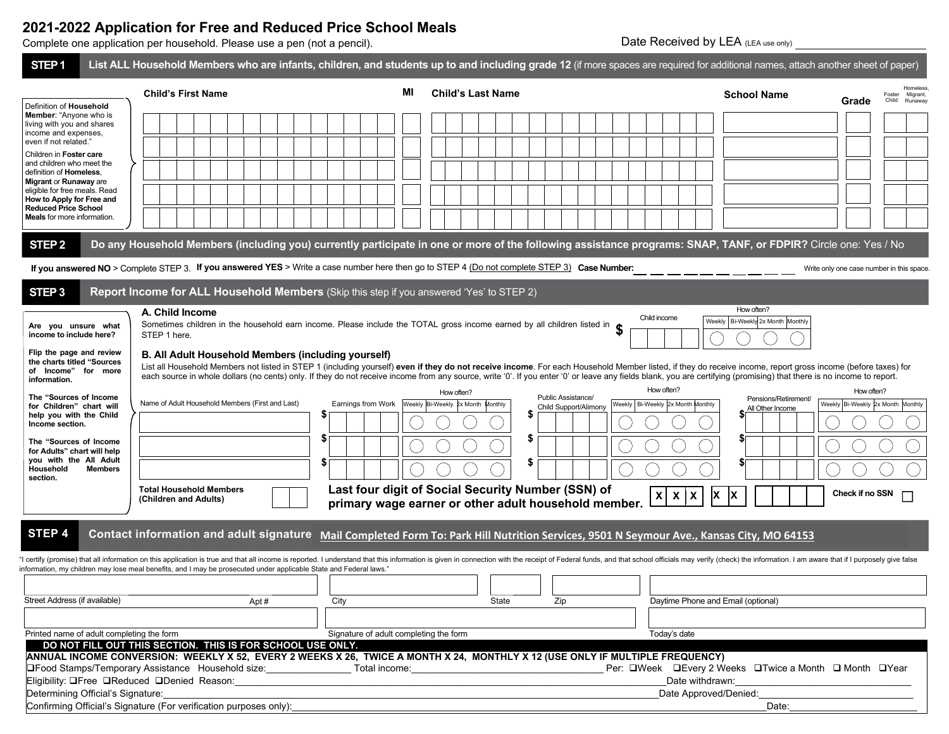# **2021-2022 Application for Free and Reduced Price School Meals**

Complete one application per household. Please use a pen (not a pencil).

Date Received by LEA (LEA use only)

| STEP <sub>1</sub>                                                                                       |                                                                                                                                              |    | List ALL Household Members who are infants, children, and students up to and including grade 12 (if more spaces are required for additional names, attach another sheet of paper)                                                                                                                                                                                                                                                     |                                                        |
|---------------------------------------------------------------------------------------------------------|----------------------------------------------------------------------------------------------------------------------------------------------|----|---------------------------------------------------------------------------------------------------------------------------------------------------------------------------------------------------------------------------------------------------------------------------------------------------------------------------------------------------------------------------------------------------------------------------------------|--------------------------------------------------------|
|                                                                                                         | <b>Child's First Name</b>                                                                                                                    | MI | <b>Child's Last Name</b>                                                                                                                                                                                                                                                                                                                                                                                                              | Homeless<br><b>School Name</b><br>Foster<br>Migrant,   |
| Definition of Household<br>Member: "Anyone who is<br>living with you and shares<br>income and expenses. |                                                                                                                                              |    |                                                                                                                                                                                                                                                                                                                                                                                                                                       | Child<br>Runaway<br>Grade                              |
| even if not related."                                                                                   |                                                                                                                                              |    |                                                                                                                                                                                                                                                                                                                                                                                                                                       |                                                        |
| Children in Foster care<br>and children who meet the                                                    |                                                                                                                                              |    |                                                                                                                                                                                                                                                                                                                                                                                                                                       |                                                        |
| definition of Homeless,<br>Migrant or Runaway are                                                       |                                                                                                                                              |    |                                                                                                                                                                                                                                                                                                                                                                                                                                       |                                                        |
| eligible for free meals. Read                                                                           |                                                                                                                                              |    |                                                                                                                                                                                                                                                                                                                                                                                                                                       |                                                        |
| How to Apply for Free and<br><b>Reduced Price School</b>                                                |                                                                                                                                              |    |                                                                                                                                                                                                                                                                                                                                                                                                                                       |                                                        |
| <b>Meals</b> for more information.                                                                      |                                                                                                                                              |    |                                                                                                                                                                                                                                                                                                                                                                                                                                       |                                                        |
| STEP <sub>2</sub>                                                                                       |                                                                                                                                              |    | Do any Household Members (including you) currently participate in one or more of the following assistance programs: SNAP, TANF, or FDPIR? Circle one: Yes / No                                                                                                                                                                                                                                                                        |                                                        |
|                                                                                                         | If you answered NO > Complete STEP 3. If you answered YES > Write a case number here then go to STEP 4 (Do not complete STEP 3) Case Number: |    |                                                                                                                                                                                                                                                                                                                                                                                                                                       | Write only one case number in this space.              |
| STEP <sub>3</sub>                                                                                       | Report Income for ALL Household Members (Skip this step if you answered 'Yes' to STEP 2)                                                     |    |                                                                                                                                                                                                                                                                                                                                                                                                                                       |                                                        |
|                                                                                                         | A. Child Income                                                                                                                              |    | Child income                                                                                                                                                                                                                                                                                                                                                                                                                          | How often?<br>Weekly   Bi-Weekly 2x Month Monthly      |
| Are you unsure what<br>income to include here?                                                          | Sometimes children in the household earn income. Please include the TOTAL gross income earned by all children listed in<br>STEP 1 here.      |    |                                                                                                                                                                                                                                                                                                                                                                                                                                       |                                                        |
| Flip the page and review<br>the charts titled "Sources<br>of Income" for more<br>information.           | B. All Adult Household Members (including yourself)                                                                                          |    | List all Household Members not listed in STEP 1 (including yourself) even if they do not receive income. For each Household Member listed, if they do receive income, report gross income (before taxes) for<br>each source in whole dollars (no cents) only. If they do not receive income from any source, write '0'. If you enter '0' or leave any fields blank, you are certifying (promising) that there is no income to report. |                                                        |
| The "Sources of Income                                                                                  |                                                                                                                                              |    | How often?<br>How often?<br>Public Assistance/                                                                                                                                                                                                                                                                                                                                                                                        | How often?<br>Pensions/Retirement/                     |
| for Children" chart will<br>help you with the Child                                                     | Name of Adult Household Members (First and Last)<br>Earnings from Work<br>S                                                                  |    | Weekly Bi-Weekly 2x Month Monthly<br>Weekly   Bi-Weekly 2x Month Monthly<br>Child Support/Alimony<br>S                                                                                                                                                                                                                                                                                                                                | Weekly Bi-Weekly 2x Month Monthly<br>All Other Income  |
| Income section.                                                                                         |                                                                                                                                              |    |                                                                                                                                                                                                                                                                                                                                                                                                                                       |                                                        |
| The "Sources of Income                                                                                  | Ъ                                                                                                                                            |    |                                                                                                                                                                                                                                                                                                                                                                                                                                       |                                                        |
| for Adults" chart will help<br>you with the All Adult                                                   | \$                                                                                                                                           |    | S                                                                                                                                                                                                                                                                                                                                                                                                                                     | S                                                      |
| <b>Members</b><br>Household<br>section.                                                                 |                                                                                                                                              |    |                                                                                                                                                                                                                                                                                                                                                                                                                                       |                                                        |
|                                                                                                         | <b>Total Household Members</b>                                                                                                               |    | Last four digit of Social Security Number (SSN) of<br>$\mathsf{x}$<br>$\boldsymbol{\mathsf{x}}$<br>$\boldsymbol{\mathsf{x}}$                                                                                                                                                                                                                                                                                                          | Check if no SSN<br>ΙX                                  |
|                                                                                                         | (Children and Adults)                                                                                                                        |    | primary wage earner or other adult household member.                                                                                                                                                                                                                                                                                                                                                                                  |                                                        |
| STEP 4                                                                                                  |                                                                                                                                              |    | Contact information and adult signature Mail Completed Form To: Park Hill Nutrition Services, 9501 N Seymour Ave., Kansas City, MO 64153                                                                                                                                                                                                                                                                                              |                                                        |
|                                                                                                         |                                                                                                                                              |    | "I certify (promise) that all information on this application is true and that all income is reported. I understand that this information is given in connection with the receipt of Federal funds, and that school officials                                                                                                                                                                                                         |                                                        |
|                                                                                                         | information, my children may lose meal benefits, and I may be prosecuted under applicable State and Federal laws."                           |    |                                                                                                                                                                                                                                                                                                                                                                                                                                       |                                                        |
| Street Address (if available)                                                                           |                                                                                                                                              |    | State                                                                                                                                                                                                                                                                                                                                                                                                                                 |                                                        |
|                                                                                                         | Apt#<br>City                                                                                                                                 |    | Zip<br>Daytime Phone and Email (optional)                                                                                                                                                                                                                                                                                                                                                                                             |                                                        |
|                                                                                                         |                                                                                                                                              |    |                                                                                                                                                                                                                                                                                                                                                                                                                                       |                                                        |
| Printed name of adult completing the form                                                               | Signature of adult completing the form<br>DO NOT FILL OUT THIS SECTION. THIS IS FOR SCHOOL USE ONLY.                                         |    | Today's date                                                                                                                                                                                                                                                                                                                                                                                                                          |                                                        |
|                                                                                                         |                                                                                                                                              |    | ANNUAL INCOME CONVERSION: WEEKLY X 52, EVERY 2 WEEKS X 26, TWICE A MONTH X 24, MONTHLY X 12 (USE ONLY IF MULTIPLE FREQUENCY)                                                                                                                                                                                                                                                                                                          |                                                        |
|                                                                                                         | <b>□Food Stamps/Temporary Assistance</b> Household size: Total income:                                                                       |    |                                                                                                                                                                                                                                                                                                                                                                                                                                       | Per: QWeek QEvery 2 Weeks QTwice a Month Q Month QYear |
|                                                                                                         | Eligibility: OFree OReduced ODenied Reason:                                                                                                  |    | Date withdrawn:                                                                                                                                                                                                                                                                                                                                                                                                                       |                                                        |
| Determining Official's Signature:                                                                       | Confirming Official's Signature (For verification purposes only):                                                                            |    | Date Approved/Denied:                                                                                                                                                                                                                                                                                                                                                                                                                 | Date:                                                  |
|                                                                                                         |                                                                                                                                              |    |                                                                                                                                                                                                                                                                                                                                                                                                                                       |                                                        |